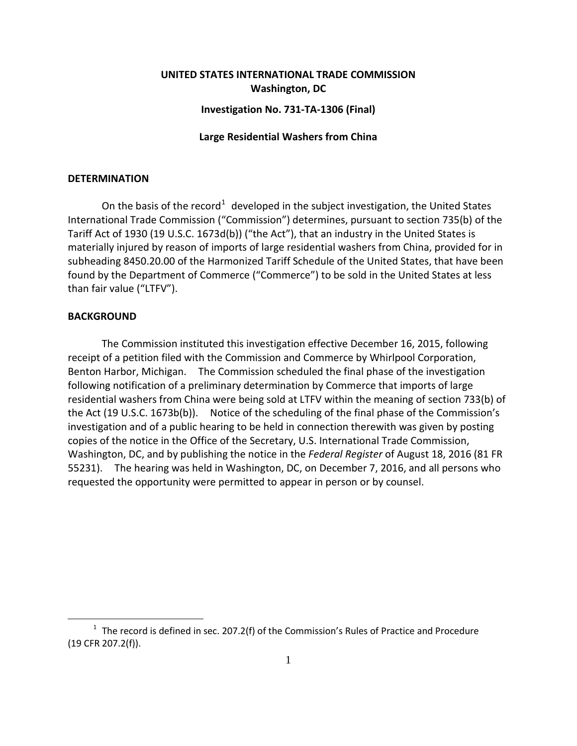# **UNITED STATES INTERNATIONAL TRADE COMMISSION Washington, DC**

### **Investigation No. 731-TA-1306 (Final)**

### **Large Residential Washers from China**

#### **DETERMINATION**

On the basis of the record<sup>[1](#page-0-0)</sup> developed in the subject investigation, the United States International Trade Commission ("Commission") determines, pursuant to section 735(b) of the Tariff Act of 1930 (19 U.S.C. 1673d(b)) ("the Act"), that an industry in the United States is materially injured by reason of imports of large residential washers from China, provided for in subheading 8450.20.00 of the Harmonized Tariff Schedule of the United States, that have been found by the Department of Commerce ("Commerce") to be sold in the United States at less than fair value ("LTFV").

## **BACKGROUND**

 $\overline{a}$ 

The Commission instituted this investigation effective December 16, 2015, following receipt of a petition filed with the Commission and Commerce by Whirlpool Corporation, Benton Harbor, Michigan. The Commission scheduled the final phase of the investigation following notification of a preliminary determination by Commerce that imports of large residential washers from China were being sold at LTFV within the meaning of section 733(b) of the Act (19 U.S.C. 1673b(b)). Notice of the scheduling of the final phase of the Commission's investigation and of a public hearing to be held in connection therewith was given by posting copies of the notice in the Office of the Secretary, U.S. International Trade Commission, Washington, DC, and by publishing the notice in the *Federal Register* of August 18, 2016 (81 FR 55231). The hearing was held in Washington, DC, on December 7, 2016, and all persons who requested the opportunity were permitted to appear in person or by counsel.

<span id="page-0-0"></span> $1$  The record is defined in sec. 207.2(f) of the Commission's Rules of Practice and Procedure (19 CFR 207.2(f)).